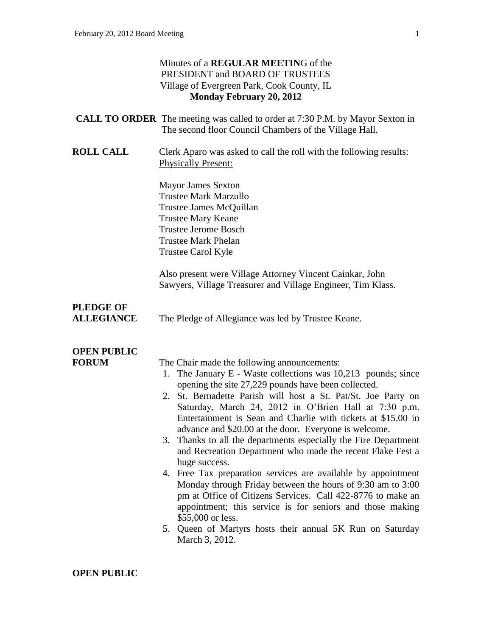## Minutes of a **REGULAR MEETIN**G of the PRESIDENT and BOARD OF TRUSTEES Village of Evergreen Park, Cook County, IL **Monday February 20, 2012 CALL TO ORDER** The meeting was called to order at 7:30 P.M. by Mayor Sexton in The second floor Council Chambers of the Village Hall. **ROLL CALL** Clerk Aparo was asked to call the roll with the following results: Physically Present: Mayor James Sexton Trustee Mark Marzullo Trustee James McQuillan Trustee Mary Keane Trustee Jerome Bosch Trustee Mark Phelan Trustee Carol Kyle Also present were Village Attorney Vincent Cainkar, John Sawyers, Village Treasurer and Village Engineer, Tim Klass. **PLEDGE OF ALLEGIANCE** The Pledge of Allegiance was led by Trustee Keane. **OPEN PUBLIC FORUM** The Chair made the following announcements: 1. The January E - Waste collections was 10,213 pounds; since opening the site 27,229 pounds have been collected. 2. St. Bernadette Parish will host a St. Pat/St. Joe Party on Saturday, March 24, 2012 in O'Brien Hall at 7:30 p.m. Entertainment is Sean and Charlie with tickets at \$15.00 in advance and \$20.00 at the door. Everyone is welcome. 3. Thanks to all the departments especially the Fire Department and Recreation Department who made the recent Flake Fest a huge success. 4. Free Tax preparation services are available by appointment Monday through Friday between the hours of 9:30 am to 3:00 pm at Office of Citizens Services. Call 422-8776 to make an appointment; this service is for seniors and those making \$55,000 or less. 5. Queen of Martyrs hosts their annual 5K Run on Saturday March 3, 2012.

### **OPEN PUBLIC**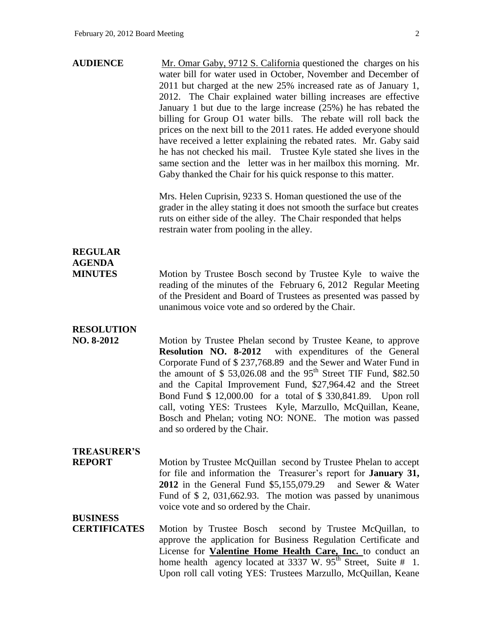| <b>AUDIENCE</b> | Mr. Omar Gaby, 9712 S. California questioned the charges on his        |
|-----------------|------------------------------------------------------------------------|
|                 | water bill for water used in October, November and December of         |
|                 | 2011 but charged at the new 25% increased rate as of January 1,        |
|                 | 2012. The Chair explained water billing increases are effective        |
|                 | January 1 but due to the large increase $(25%)$ he has rebated the     |
|                 | billing for Group O1 water bills. The rebate will roll back the        |
|                 | prices on the next bill to the 2011 rates. He added everyone should    |
|                 | have received a letter explaining the rebated rates. Mr. Gaby said     |
|                 | he has not checked his mail. Trustee Kyle stated she lives in the      |
|                 | same section and the letter was in her mailbox this morning. Mr.       |
|                 | Gaby thanked the Chair for his quick response to this matter.          |
|                 | Mrs. Helen Cuprisin, 9233 S. Homan questioned the use of the           |
|                 | grader in the alley stating it does not smooth the surface but creates |
|                 | ruts on either side of the alley. The Chair responded that helps       |

restrain water from pooling in the alley.

### **REGULAR AGENDA**

**MINUTES** Motion by Trustee Bosch second by Trustee Kyle to waive the reading of the minutes of the February 6, 2012 Regular Meeting of the President and Board of Trustees as presented was passed by unanimous voice vote and so ordered by the Chair.

## **RESOLUTION**

**NO. 8-2012** Motion by Trustee Phelan second by Trustee Keane, to approve **Resolution NO. 8-2012** with expenditures of the General Corporate Fund of \$ 237,768.89 and the Sewer and Water Fund in the amount of  $$ 53,026.08$  and the 95<sup>th</sup> Street TIF Fund, \$82.50 and the Capital Improvement Fund, \$27,964.42 and the Street Bond Fund \$ 12,000.00 for a total of \$ 330,841.89. Upon roll call, voting YES: Trustees Kyle, Marzullo, McQuillan, Keane, Bosch and Phelan; voting NO: NONE. The motion was passed and so ordered by the Chair.

### **TREASURER'S**

**REPORT** Motion by Trustee McQuillan second by Trustee Phelan to accept for file and information the Treasurer's report for **January 31, 2012** in the General Fund \$5,155,079.29 and Sewer & Water Fund of \$ 2, 031,662.93. The motion was passed by unanimous voice vote and so ordered by the Chair.

### **BUSINESS**

**CERTIFICATES** Motion by Trustee Bosch second by Trustee McQuillan, to approve the application for Business Regulation Certificate and License for **Valentine Home Health Care, Inc.** to conduct an home health agency located at  $3337$  W.  $95<sup>th</sup>$  Street, Suite # 1. Upon roll call voting YES: Trustees Marzullo, McQuillan, Keane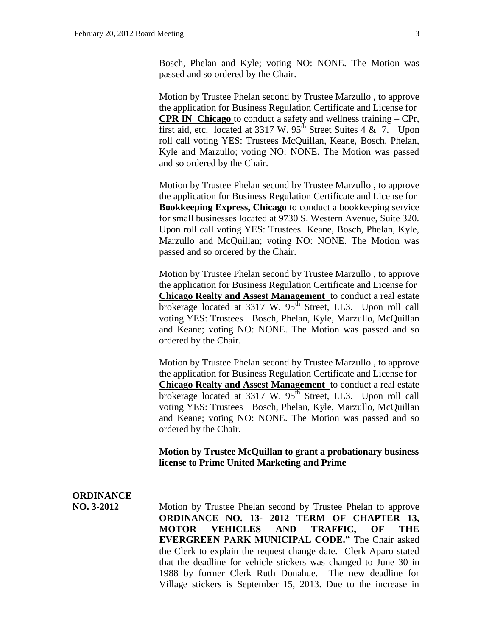Bosch, Phelan and Kyle; voting NO: NONE. The Motion was passed and so ordered by the Chair.

Motion by Trustee Phelan second by Trustee Marzullo , to approve the application for Business Regulation Certificate and License for **CPR IN Chicago** to conduct a safety and wellness training – CPr, first aid, etc. located at 3317 W.  $95<sup>th</sup>$  Street Suites 4 & 7. Upon roll call voting YES: Trustees McQuillan, Keane, Bosch, Phelan, Kyle and Marzullo; voting NO: NONE. The Motion was passed and so ordered by the Chair.

Motion by Trustee Phelan second by Trustee Marzullo , to approve the application for Business Regulation Certificate and License for **Bookkeeping Express, Chicago** to conduct a bookkeeping service for small businesses located at 9730 S. Western Avenue, Suite 320. Upon roll call voting YES: Trustees Keane, Bosch, Phelan, Kyle, Marzullo and McQuillan; voting NO: NONE. The Motion was passed and so ordered by the Chair.

Motion by Trustee Phelan second by Trustee Marzullo , to approve the application for Business Regulation Certificate and License for **Chicago Realty and Assest Management** to conduct a real estate brokerage located at  $3317$  W.  $95<sup>th</sup>$  Street, LL3. Upon roll call voting YES: Trustees Bosch, Phelan, Kyle, Marzullo, McQuillan and Keane; voting NO: NONE. The Motion was passed and so ordered by the Chair.

Motion by Trustee Phelan second by Trustee Marzullo , to approve the application for Business Regulation Certificate and License for **Chicago Realty and Assest Management** to conduct a real estate brokerage located at  $3317 \text{ W}$ .  $95^{\text{th}}$  Street, LL3. Upon roll call voting YES: Trustees Bosch, Phelan, Kyle, Marzullo, McQuillan and Keane; voting NO: NONE. The Motion was passed and so ordered by the Chair.

**Motion by Trustee McQuillan to grant a probationary business license to Prime United Marketing and Prime**

# **ORDINANCE**

**NO. 3-2012** Motion by Trustee Phelan second by Trustee Phelan to approve **ORDINANCE NO. 13- 2012 TERM OF CHAPTER 13, MOTOR VEHICLES AND TRAFFIC, OF THE EVERGREEN PARK MUNICIPAL CODE."** The Chair asked the Clerk to explain the request change date. Clerk Aparo stated that the deadline for vehicle stickers was changed to June 30 in 1988 by former Clerk Ruth Donahue. The new deadline for Village stickers is September 15, 2013. Due to the increase in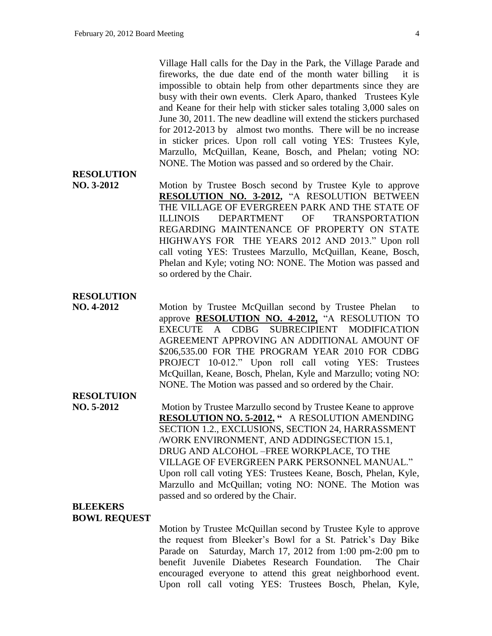Village Hall calls for the Day in the Park, the Village Parade and fireworks, the due date end of the month water billing it is impossible to obtain help from other departments since they are busy with their own events. Clerk Aparo, thanked Trustees Kyle and Keane for their help with sticker sales totaling 3,000 sales on June 30, 2011. The new deadline will extend the stickers purchased for 2012-2013 by almost two months. There will be no increase in sticker prices. Upon roll call voting YES: Trustees Kyle, Marzullo, McQuillan, Keane, Bosch, and Phelan; voting NO: NONE. The Motion was passed and so ordered by the Chair.

# **RESOLUTION**

**NO. 3-2012** Motion by Trustee Bosch second by Trustee Kyle to approve **RESOLUTION NO. 3-2012,** "A RESOLUTION BETWEEN THE VILLAGE OF EVERGREEN PARK AND THE STATE OF ILLINOIS DEPARTMENT OF TRANSPORTATION REGARDING MAINTENANCE OF PROPERTY ON STATE HIGHWAYS FOR THE YEARS 2012 AND 2013." Upon roll call voting YES: Trustees Marzullo, McQuillan, Keane, Bosch, Phelan and Kyle; voting NO: NONE. The Motion was passed and so ordered by the Chair.

### **RESOLUTION**

**NO. 4-2012** Motion by Trustee McQuillan second by Trustee Phelan to approve **RESOLUTION NO. 4-2012,** "A RESOLUTION TO EXECUTE A CDBG SUBRECIPIENT MODIFICATION AGREEMENT APPROVING AN ADDITIONAL AMOUNT OF \$206,535.00 FOR THE PROGRAM YEAR 2010 FOR CDBG PROJECT 10-012." Upon roll call voting YES: Trustees McQuillan, Keane, Bosch, Phelan, Kyle and Marzullo; voting NO: NONE. The Motion was passed and so ordered by the Chair.

# **RESOLTUION**

**NO. 5-2012** Motion by Trustee Marzullo second by Trustee Keane to approve **RESOLUTION NO. 5-2012, "** A RESOLUTION AMENDING SECTION 1.2., EXCLUSIONS, SECTION 24, HARRASSMENT /WORK ENVIRONMENT, AND ADDINGSECTION 15.1, DRUG AND ALCOHOL –FREE WORKPLACE, TO THE VILLAGE OF EVERGREEN PARK PERSONNEL MANUAL." Upon roll call voting YES: Trustees Keane, Bosch, Phelan, Kyle, Marzullo and McQuillan; voting NO: NONE. The Motion was passed and so ordered by the Chair.

### **BLEEKERS BOWL REQUEST**

Motion by Trustee McQuillan second by Trustee Kyle to approve the request from Bleeker's Bowl for a St. Patrick's Day Bike Parade on Saturday, March 17, 2012 from 1:00 pm-2:00 pm to benefit Juvenile Diabetes Research Foundation. The Chair encouraged everyone to attend this great neighborhood event. Upon roll call voting YES: Trustees Bosch, Phelan, Kyle,